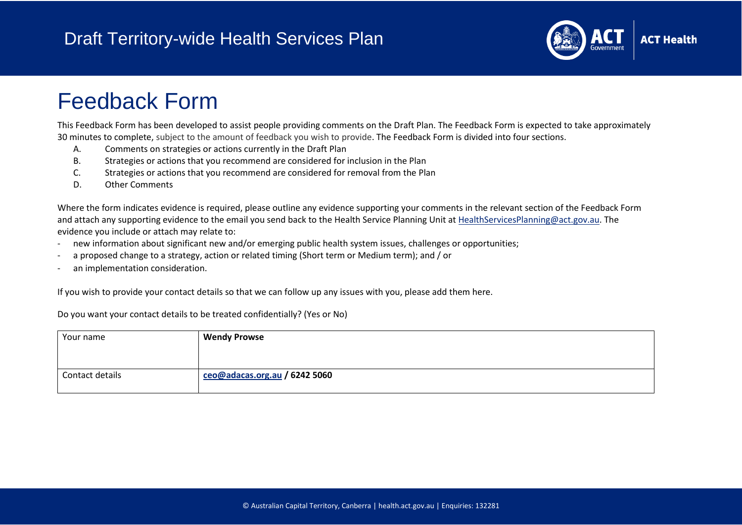

# Feedback Form

This Feedback Form has been developed to assist people providing comments on the Draft Plan. The Feedback Form is expected to take approximately 30 minutes to complete, subject to the amount of feedback you wish to provide. The Feedback Form is divided into four sections.

- A. Comments on strategies or actions currently in the Draft Plan
- B. Strategies or actions that you recommend are considered for inclusion in the Plan
- C. Strategies or actions that you recommend are considered for removal from the Plan
- D. Other Comments

Where the form indicates evidence is required, please outline any evidence supporting your comments in the relevant section of the Feedback Form and attach any supporting evidence to the email you send back to the Health Service Planning Unit at [HealthServicesPlanning@act.gov.au.](mailto:HealthServicesPlanning@act.gov.au) The evidence you include or attach may relate to:

- new information about significant new and/or emerging public health system issues, challenges or opportunities;
- a proposed change to a strategy, action or related timing (Short term or Medium term); and / or
- an implementation consideration.

If you wish to provide your contact details so that we can follow up any issues with you, please add them here.

Do you want your contact details to be treated confidentially? (Yes or No)

| Your name       | <b>Wendy Prowse</b>              |
|-----------------|----------------------------------|
|                 |                                  |
|                 |                                  |
| Contact details | $ceo@$ adacas.org.au / 6242 5060 |
|                 |                                  |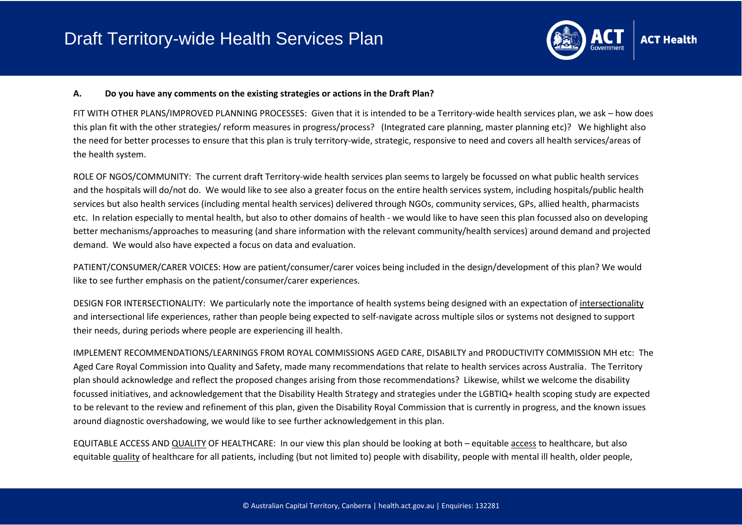

#### **A. Do you have any comments on the existing strategies or actions in the Draft Plan?**

FIT WITH OTHER PLANS/IMPROVED PLANNING PROCESSES: Given that it is intended to be a Territory-wide health services plan, we ask – how does this plan fit with the other strategies/ reform measures in progress/process? (Integrated care planning, master planning etc)? We highlight also the need for better processes to ensure that this plan is truly territory-wide, strategic, responsive to need and covers all health services/areas of the health system.

ROLE OF NGOS/COMMUNITY: The current draft Territory-wide health services plan seems to largely be focussed on what public health services and the hospitals will do/not do. We would like to see also a greater focus on the entire health services system, including hospitals/public health services but also health services (including mental health services) delivered through NGOs, community services, GPs, allied health, pharmacists etc. In relation especially to mental health, but also to other domains of health - we would like to have seen this plan focussed also on developing better mechanisms/approaches to measuring (and share information with the relevant community/health services) around demand and projected demand. We would also have expected a focus on data and evaluation.

PATIENT/CONSUMER/CARER VOICES: How are patient/consumer/carer voices being included in the design/development of this plan? We would like to see further emphasis on the patient/consumer/carer experiences.

DESIGN FOR INTERSECTIONALITY: We particularly note the importance of health systems being designed with an expectation of intersectionality and intersectional life experiences, rather than people being expected to self-navigate across multiple silos or systems not designed to support their needs, during periods where people are experiencing ill health.

IMPLEMENT RECOMMENDATIONS/LEARNINGS FROM ROYAL COMMISSIONS AGED CARE, DISABILTY and PRODUCTIVITY COMMISSION MH etc: The Aged Care Royal Commission into Quality and Safety, made many recommendations that relate to health services across Australia. The Territory plan should acknowledge and reflect the proposed changes arising from those recommendations? Likewise, whilst we welcome the disability focussed initiatives, and acknowledgement that the Disability Health Strategy and strategies under the LGBTIQ+ health scoping study are expected to be relevant to the review and refinement of this plan, given the Disability Royal Commission that is currently in progress, and the known issues around diagnostic overshadowing, we would like to see further acknowledgement in this plan.

EQUITABLE ACCESS AND QUALITY OF HEALTHCARE: In our view this plan should be looking at both – equitable access to healthcare, but also equitable quality of healthcare for all patients, including (but not limited to) people with disability, people with mental ill health, older people,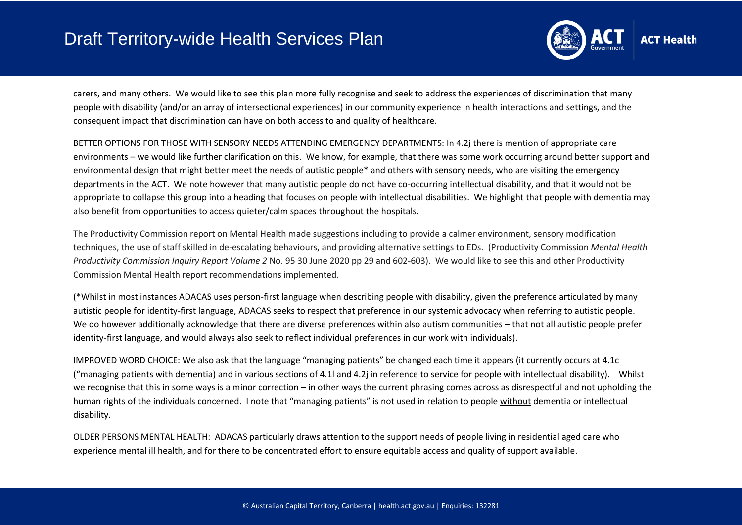

carers, and many others. We would like to see this plan more fully recognise and seek to address the experiences of discrimination that many people with disability (and/or an array of intersectional experiences) in our community experience in health interactions and settings, and the consequent impact that discrimination can have on both access to and quality of healthcare.

BETTER OPTIONS FOR THOSE WITH SENSORY NEEDS ATTENDING EMERGENCY DEPARTMENTS: In 4.2j there is mention of appropriate care environments – we would like further clarification on this. We know, for example, that there was some work occurring around better support and environmental design that might better meet the needs of autistic people\* and others with sensory needs, who are visiting the emergency departments in the ACT. We note however that many autistic people do not have co-occurring intellectual disability, and that it would not be appropriate to collapse this group into a heading that focuses on people with intellectual disabilities. We highlight that people with dementia may also benefit from opportunities to access quieter/calm spaces throughout the hospitals.

The Productivity Commission report on Mental Health made suggestions including to provide a calmer environment, sensory modification techniques, the use of staff skilled in de-escalating behaviours, and providing alternative settings to EDs. (Productivity Commission *Mental Health Productivity Commission Inquiry Report Volume 2* No. 95 30 June 2020 pp 29 and 602-603). We would like to see this and other Productivity Commission Mental Health report recommendations implemented.

(\*Whilst in most instances ADACAS uses person-first language when describing people with disability, given the preference articulated by many autistic people for identity-first language, ADACAS seeks to respect that preference in our systemic advocacy when referring to autistic people. We do however additionally acknowledge that there are diverse preferences within also autism communities – that not all autistic people prefer identity-first language, and would always also seek to reflect individual preferences in our work with individuals).

IMPROVED WORD CHOICE: We also ask that the language "managing patients" be changed each time it appears (it currently occurs at 4.1c ("managing patients with dementia) and in various sections of 4.1l and 4.2j in reference to service for people with intellectual disability). Whilst we recognise that this in some ways is a minor correction – in other ways the current phrasing comes across as disrespectful and not upholding the human rights of the individuals concerned. I note that "managing patients" is not used in relation to people without dementia or intellectual disability.

OLDER PERSONS MENTAL HEALTH: ADACAS particularly draws attention to the support needs of people living in residential aged care who experience mental ill health, and for there to be concentrated effort to ensure equitable access and quality of support available.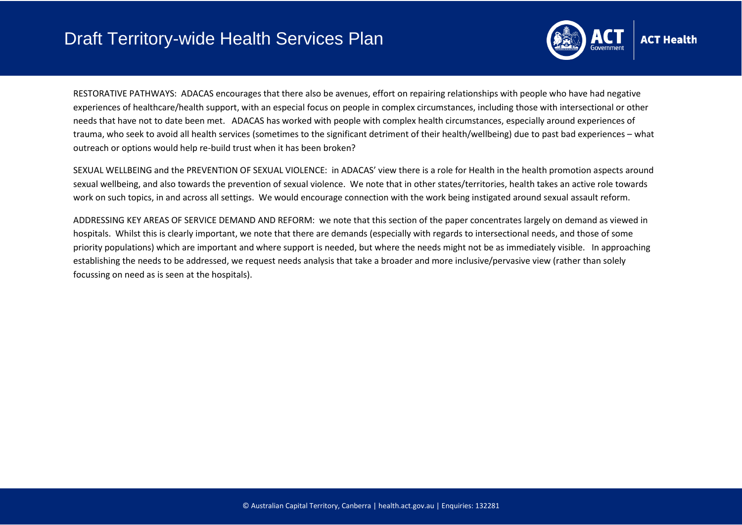

RESTORATIVE PATHWAYS: ADACAS encourages that there also be avenues, effort on repairing relationships with people who have had negative experiences of healthcare/health support, with an especial focus on people in complex circumstances, including those with intersectional or other needs that have not to date been met. ADACAS has worked with people with complex health circumstances, especially around experiences of trauma, who seek to avoid all health services (sometimes to the significant detriment of their health/wellbeing) due to past bad experiences – what outreach or options would help re-build trust when it has been broken?

SEXUAL WELLBEING and the PREVENTION OF SEXUAL VIOLENCE: in ADACAS' view there is a role for Health in the health promotion aspects around sexual wellbeing, and also towards the prevention of sexual violence. We note that in other states/territories, health takes an active role towards work on such topics, in and across all settings. We would encourage connection with the work being instigated around sexual assault reform.

ADDRESSING KEY AREAS OF SERVICE DEMAND AND REFORM: we note that this section of the paper concentrates largely on demand as viewed in hospitals. Whilst this is clearly important, we note that there are demands (especially with regards to intersectional needs, and those of some priority populations) which are important and where support is needed, but where the needs might not be as immediately visible. In approaching establishing the needs to be addressed, we request needs analysis that take a broader and more inclusive/pervasive view (rather than solely focussing on need as is seen at the hospitals).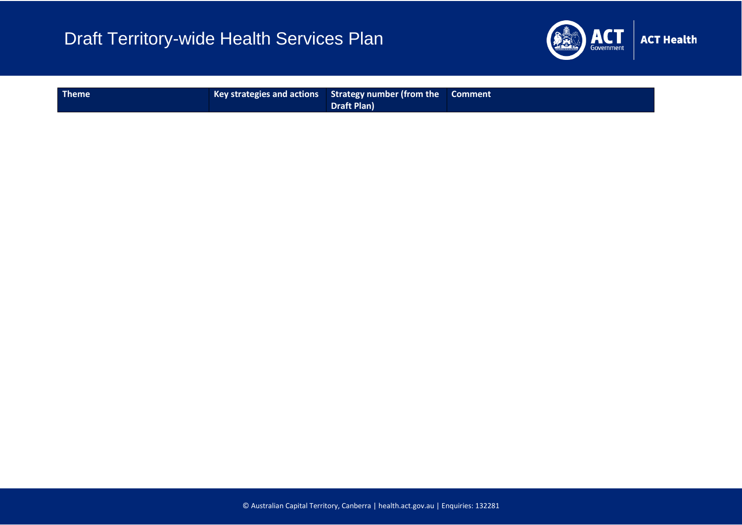

| <b>Theme</b> |  | Key strategies and actions   Strategy number (from the   Comment<br><b>Draft Plan)</b> |  |
|--------------|--|----------------------------------------------------------------------------------------|--|
|--------------|--|----------------------------------------------------------------------------------------|--|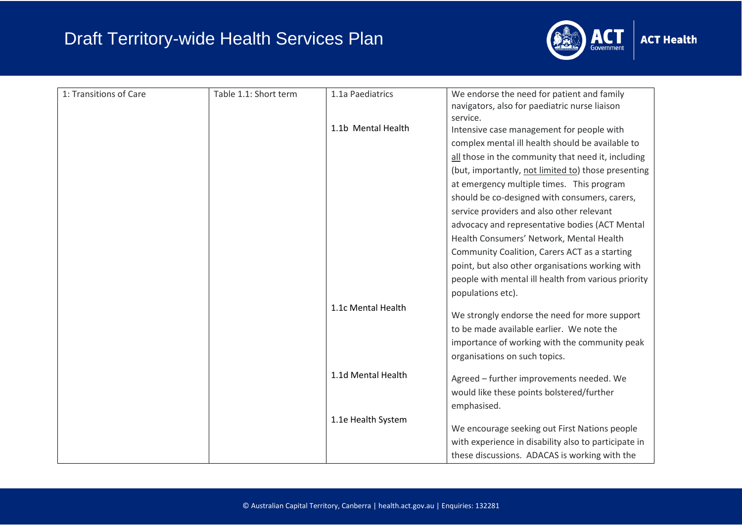

| 1: Transitions of Care | Table 1.1: Short term | 1.1a Paediatrics   | We endorse the need for patient and family           |
|------------------------|-----------------------|--------------------|------------------------------------------------------|
|                        |                       |                    | navigators, also for paediatric nurse liaison        |
|                        |                       |                    | service.                                             |
|                        |                       | 1.1b Mental Health | Intensive case management for people with            |
|                        |                       |                    | complex mental ill health should be available to     |
|                        |                       |                    | all those in the community that need it, including   |
|                        |                       |                    | (but, importantly, not limited to) those presenting  |
|                        |                       |                    | at emergency multiple times. This program            |
|                        |                       |                    | should be co-designed with consumers, carers,        |
|                        |                       |                    | service providers and also other relevant            |
|                        |                       |                    | advocacy and representative bodies (ACT Mental       |
|                        |                       |                    | Health Consumers' Network, Mental Health             |
|                        |                       |                    | Community Coalition, Carers ACT as a starting        |
|                        |                       |                    | point, but also other organisations working with     |
|                        |                       |                    | people with mental ill health from various priority  |
|                        |                       |                    | populations etc).                                    |
|                        |                       | 1.1c Mental Health |                                                      |
|                        |                       |                    | We strongly endorse the need for more support        |
|                        |                       |                    | to be made available earlier. We note the            |
|                        |                       |                    | importance of working with the community peak        |
|                        |                       |                    | organisations on such topics.                        |
|                        |                       | 1.1d Mental Health |                                                      |
|                        |                       |                    | Agreed - further improvements needed. We             |
|                        |                       |                    | would like these points bolstered/further            |
|                        |                       |                    | emphasised.                                          |
|                        |                       | 1.1e Health System | We encourage seeking out First Nations people        |
|                        |                       |                    | with experience in disability also to participate in |
|                        |                       |                    | these discussions. ADACAS is working with the        |
|                        |                       |                    |                                                      |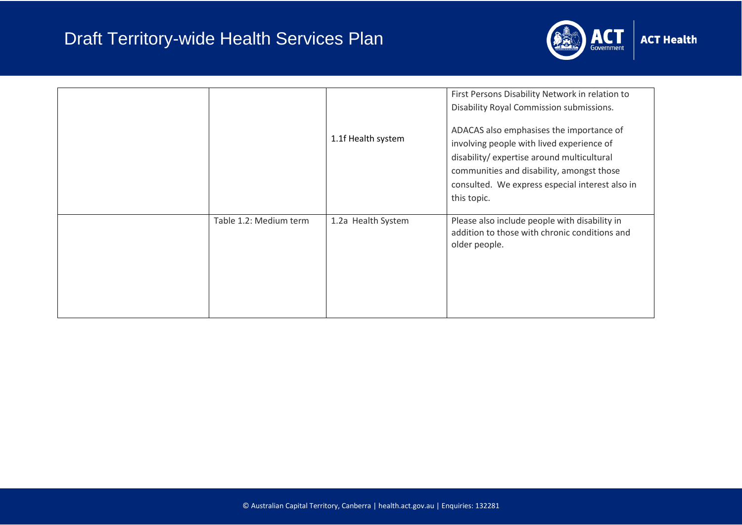

|                        | 1.1f Health system | First Persons Disability Network in relation to<br>Disability Royal Commission submissions.<br>ADACAS also emphasises the importance of<br>involving people with lived experience of<br>disability/ expertise around multicultural<br>communities and disability, amongst those<br>consulted. We express especial interest also in<br>this topic. |
|------------------------|--------------------|---------------------------------------------------------------------------------------------------------------------------------------------------------------------------------------------------------------------------------------------------------------------------------------------------------------------------------------------------|
| Table 1.2: Medium term | 1.2a Health System | Please also include people with disability in<br>addition to those with chronic conditions and<br>older people.                                                                                                                                                                                                                                   |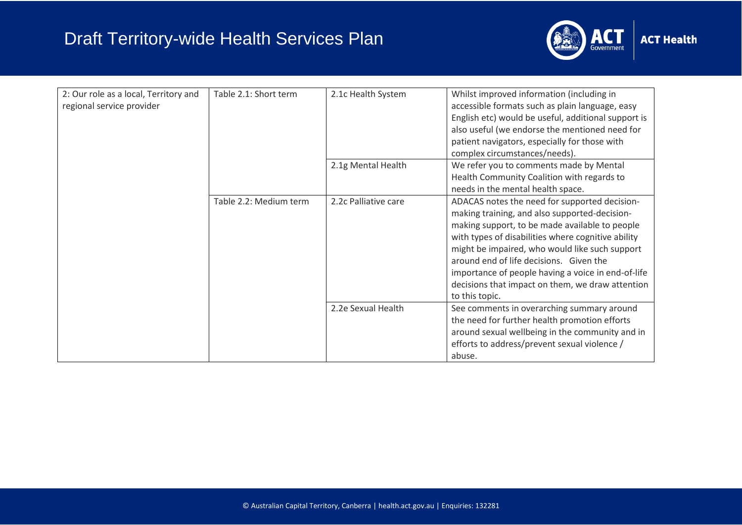

| 2: Our role as a local, Territory and<br>regional service provider | Table 2.1: Short term  | 2.1c Health System   | Whilst improved information (including in<br>accessible formats such as plain language, easy<br>English etc) would be useful, additional support is<br>also useful (we endorse the mentioned need for<br>patient navigators, especially for those with<br>complex circumstances/needs).                                                                                                                                         |
|--------------------------------------------------------------------|------------------------|----------------------|---------------------------------------------------------------------------------------------------------------------------------------------------------------------------------------------------------------------------------------------------------------------------------------------------------------------------------------------------------------------------------------------------------------------------------|
|                                                                    |                        | 2.1g Mental Health   | We refer you to comments made by Mental<br>Health Community Coalition with regards to<br>needs in the mental health space.                                                                                                                                                                                                                                                                                                      |
|                                                                    | Table 2.2: Medium term | 2.2c Palliative care | ADACAS notes the need for supported decision-<br>making training, and also supported-decision-<br>making support, to be made available to people<br>with types of disabilities where cognitive ability<br>might be impaired, who would like such support<br>around end of life decisions. Given the<br>importance of people having a voice in end-of-life<br>decisions that impact on them, we draw attention<br>to this topic. |
|                                                                    |                        | 2.2e Sexual Health   | See comments in overarching summary around<br>the need for further health promotion efforts<br>around sexual wellbeing in the community and in<br>efforts to address/prevent sexual violence /<br>abuse.                                                                                                                                                                                                                        |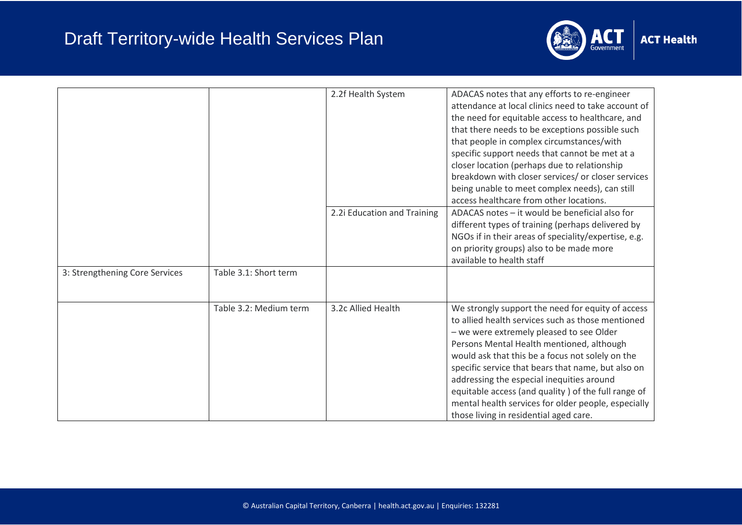

|                                |                        | 2.2f Health System          | ADACAS notes that any efforts to re-engineer<br>attendance at local clinics need to take account of<br>the need for equitable access to healthcare, and<br>that there needs to be exceptions possible such<br>that people in complex circumstances/with<br>specific support needs that cannot be met at a<br>closer location (perhaps due to relationship<br>breakdown with closer services/ or closer services<br>being unable to meet complex needs), can still<br>access healthcare from other locations.   |
|--------------------------------|------------------------|-----------------------------|----------------------------------------------------------------------------------------------------------------------------------------------------------------------------------------------------------------------------------------------------------------------------------------------------------------------------------------------------------------------------------------------------------------------------------------------------------------------------------------------------------------|
|                                |                        | 2.2i Education and Training | ADACAS notes - it would be beneficial also for<br>different types of training (perhaps delivered by<br>NGOs if in their areas of speciality/expertise, e.g.<br>on priority groups) also to be made more<br>available to health staff                                                                                                                                                                                                                                                                           |
| 3: Strengthening Core Services | Table 3.1: Short term  |                             |                                                                                                                                                                                                                                                                                                                                                                                                                                                                                                                |
|                                | Table 3.2: Medium term | 3.2c Allied Health          | We strongly support the need for equity of access<br>to allied health services such as those mentioned<br>- we were extremely pleased to see Older<br>Persons Mental Health mentioned, although<br>would ask that this be a focus not solely on the<br>specific service that bears that name, but also on<br>addressing the especial inequities around<br>equitable access (and quality) of the full range of<br>mental health services for older people, especially<br>those living in residential aged care. |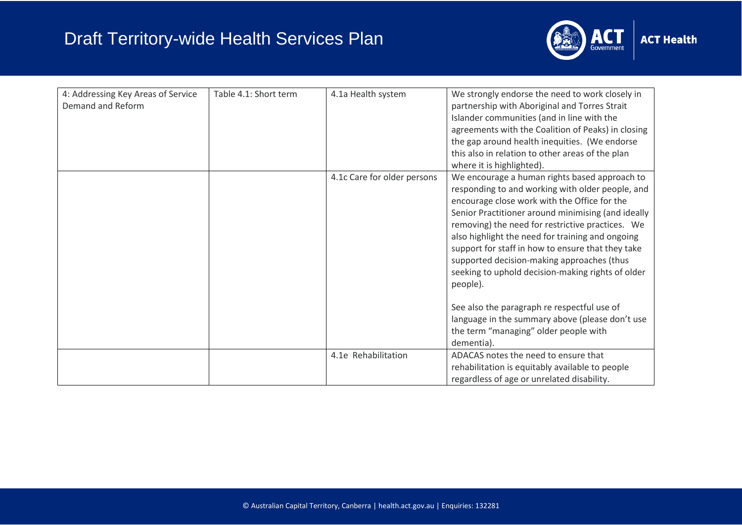

| 4: Addressing Key Areas of Service<br>Demand and Reform | Table 4.1: Short term | 4.1a Health system          | We strongly endorse the need to work closely in<br>partnership with Aboriginal and Torres Strait<br>Islander communities (and in line with the<br>agreements with the Coalition of Peaks) in closing<br>the gap around health inequities. (We endorse<br>this also in relation to other areas of the plan<br>where it is highlighted).                                                                                                                                                                                                                                                                                                       |
|---------------------------------------------------------|-----------------------|-----------------------------|----------------------------------------------------------------------------------------------------------------------------------------------------------------------------------------------------------------------------------------------------------------------------------------------------------------------------------------------------------------------------------------------------------------------------------------------------------------------------------------------------------------------------------------------------------------------------------------------------------------------------------------------|
|                                                         |                       | 4.1c Care for older persons | We encourage a human rights based approach to<br>responding to and working with older people, and<br>encourage close work with the Office for the<br>Senior Practitioner around minimising (and ideally<br>removing) the need for restrictive practices. We<br>also highlight the need for training and ongoing<br>support for staff in how to ensure that they take<br>supported decision-making approaches (thus<br>seeking to uphold decision-making rights of older<br>people).<br>See also the paragraph re respectful use of<br>language in the summary above (please don't use<br>the term "managing" older people with<br>dementia). |
|                                                         |                       | 4.1e Rehabilitation         | ADACAS notes the need to ensure that<br>rehabilitation is equitably available to people<br>regardless of age or unrelated disability.                                                                                                                                                                                                                                                                                                                                                                                                                                                                                                        |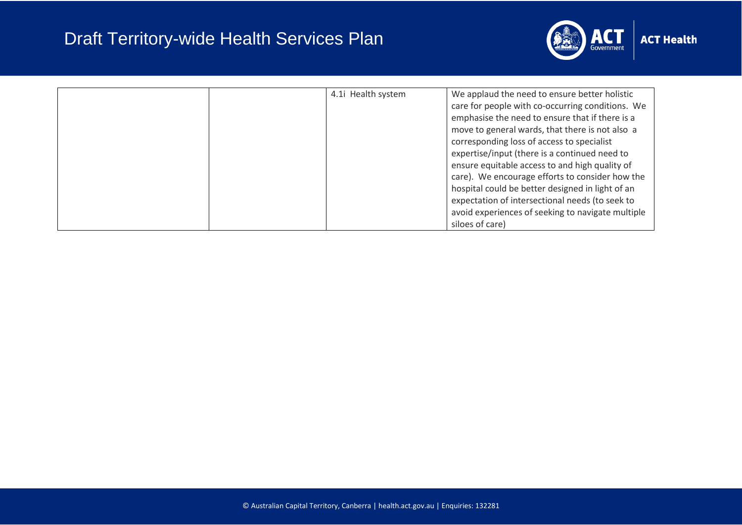

| 4.1 Health system | We applaud the need to ensure better holistic<br>care for people with co-occurring conditions. We<br>emphasise the need to ensure that if there is a<br>move to general wards, that there is not also a<br>corresponding loss of access to specialist<br>expertise/input (there is a continued need to<br>ensure equitable access to and high quality of<br>care). We encourage efforts to consider how the<br>hospital could be better designed in light of an |
|-------------------|-----------------------------------------------------------------------------------------------------------------------------------------------------------------------------------------------------------------------------------------------------------------------------------------------------------------------------------------------------------------------------------------------------------------------------------------------------------------|
|                   | expectation of intersectional needs (to seek to<br>avoid experiences of seeking to navigate multiple                                                                                                                                                                                                                                                                                                                                                            |
|                   | siloes of care)                                                                                                                                                                                                                                                                                                                                                                                                                                                 |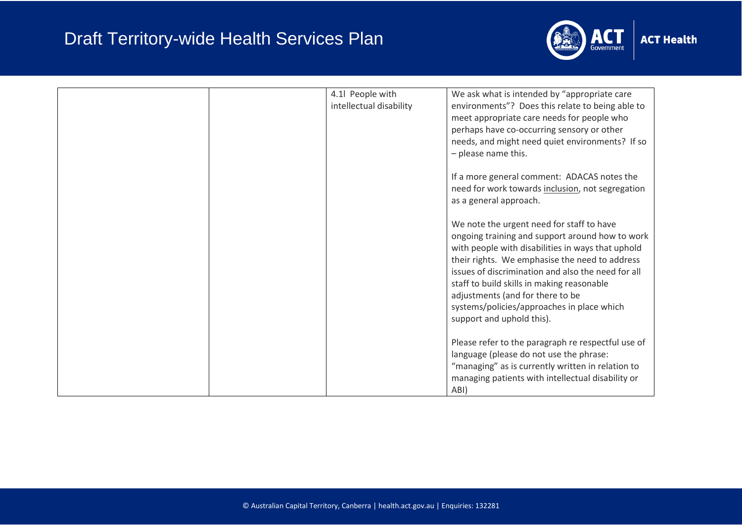

| 4.1 People with<br>intellectual disability | We ask what is intended by "appropriate care<br>environments"? Does this relate to being able to<br>meet appropriate care needs for people who<br>perhaps have co-occurring sensory or other<br>needs, and might need quiet environments? If so<br>- please name this.<br>If a more general comment: ADACAS notes the<br>need for work towards inclusion, not segregation<br>as a general approach.<br>We note the urgent need for staff to have<br>ongoing training and support around how to work<br>with people with disabilities in ways that uphold<br>their rights. We emphasise the need to address<br>issues of discrimination and also the need for all<br>staff to build skills in making reasonable<br>adjustments (and for there to be<br>systems/policies/approaches in place which |
|--------------------------------------------|--------------------------------------------------------------------------------------------------------------------------------------------------------------------------------------------------------------------------------------------------------------------------------------------------------------------------------------------------------------------------------------------------------------------------------------------------------------------------------------------------------------------------------------------------------------------------------------------------------------------------------------------------------------------------------------------------------------------------------------------------------------------------------------------------|
|                                            | support and uphold this).<br>Please refer to the paragraph re respectful use of                                                                                                                                                                                                                                                                                                                                                                                                                                                                                                                                                                                                                                                                                                                  |
|                                            | language (please do not use the phrase:<br>"managing" as is currently written in relation to<br>managing patients with intellectual disability or<br>ABI)                                                                                                                                                                                                                                                                                                                                                                                                                                                                                                                                                                                                                                        |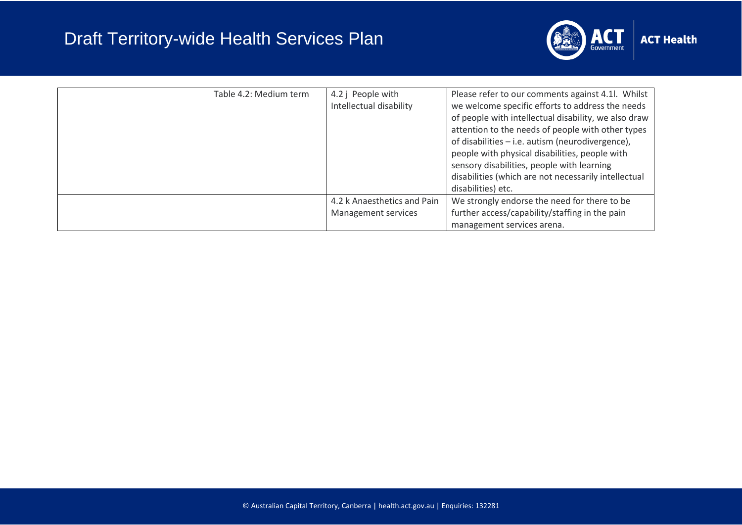

| Table 4.2: Medium term | 4.2 j People with<br>Intellectual disability       | Please refer to our comments against 4.1l. Whilst<br>we welcome specific efforts to address the needs<br>of people with intellectual disability, we also draw<br>attention to the needs of people with other types<br>of disabilities - i.e. autism (neurodivergence),<br>people with physical disabilities, people with<br>sensory disabilities, people with learning<br>disabilities (which are not necessarily intellectual<br>disabilities) etc. |
|------------------------|----------------------------------------------------|------------------------------------------------------------------------------------------------------------------------------------------------------------------------------------------------------------------------------------------------------------------------------------------------------------------------------------------------------------------------------------------------------------------------------------------------------|
|                        | 4.2 k Anaesthetics and Pain<br>Management services | We strongly endorse the need for there to be<br>further access/capability/staffing in the pain<br>management services arena.                                                                                                                                                                                                                                                                                                                         |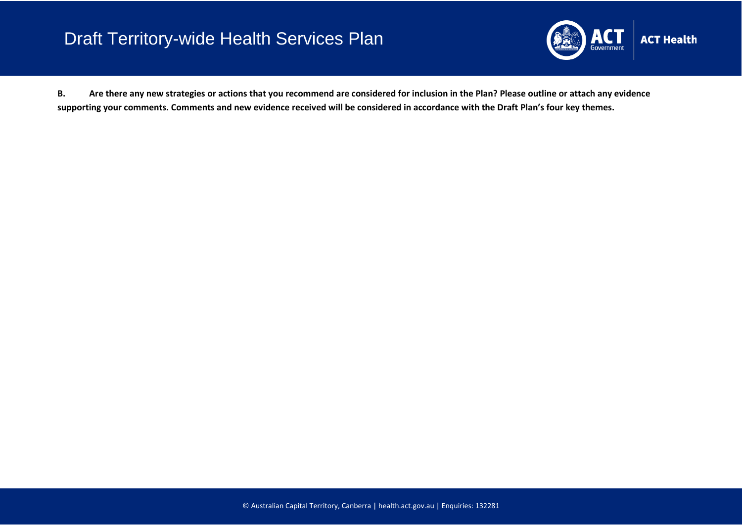

**B. Are there any new strategies or actions that you recommend are considered for inclusion in the Plan? Please outline or attach any evidence supporting your comments. Comments and new evidence received will be considered in accordance with the Draft Plan's four key themes.**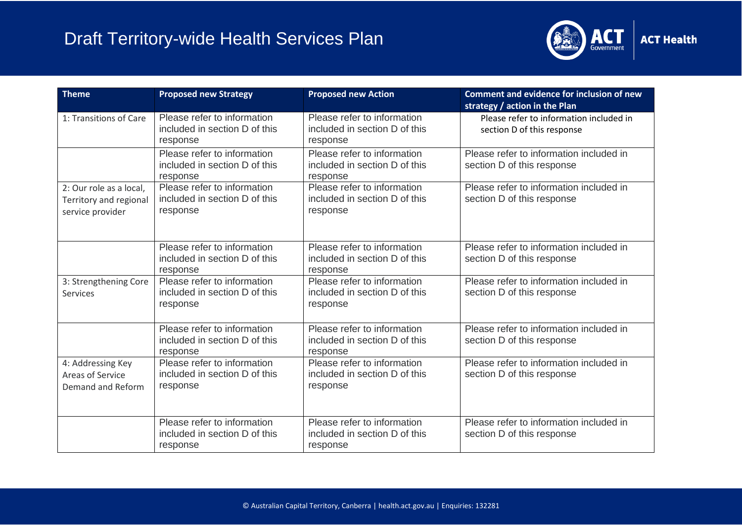

| <b>Theme</b>                                                          | <b>Proposed new Strategy</b>                                             | <b>Proposed new Action</b>                                               | <b>Comment and evidence for inclusion of new</b><br>strategy / action in the Plan |
|-----------------------------------------------------------------------|--------------------------------------------------------------------------|--------------------------------------------------------------------------|-----------------------------------------------------------------------------------|
| 1: Transitions of Care                                                | Please refer to information<br>included in section D of this<br>response | Please refer to information<br>included in section D of this<br>response | Please refer to information included in<br>section D of this response             |
|                                                                       | Please refer to information<br>included in section D of this<br>response | Please refer to information<br>included in section D of this<br>response | Please refer to information included in<br>section D of this response             |
| 2: Our role as a local,<br>Territory and regional<br>service provider | Please refer to information<br>included in section D of this<br>response | Please refer to information<br>included in section D of this<br>response | Please refer to information included in<br>section D of this response             |
|                                                                       | Please refer to information<br>included in section D of this<br>response | Please refer to information<br>included in section D of this<br>response | Please refer to information included in<br>section D of this response             |
| 3: Strengthening Core<br>Services                                     | Please refer to information<br>included in section D of this<br>response | Please refer to information<br>included in section D of this<br>response | Please refer to information included in<br>section D of this response             |
|                                                                       | Please refer to information<br>included in section D of this<br>response | Please refer to information<br>included in section D of this<br>response | Please refer to information included in<br>section D of this response             |
| 4: Addressing Key<br>Areas of Service<br>Demand and Reform            | Please refer to information<br>included in section D of this<br>response | Please refer to information<br>included in section D of this<br>response | Please refer to information included in<br>section D of this response             |
|                                                                       | Please refer to information<br>included in section D of this<br>response | Please refer to information<br>included in section D of this<br>response | Please refer to information included in<br>section D of this response             |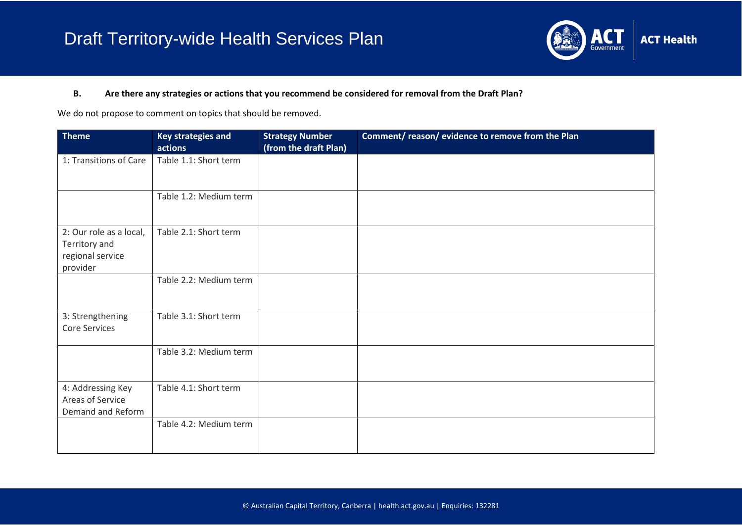

#### **B. Are there any strategies or actions that you recommend be considered for removal from the Draft Plan?**

We do not propose to comment on topics that should be removed.

| <b>Theme</b>                                                             | <b>Key strategies and</b><br>actions | <b>Strategy Number</b><br>(from the draft Plan) | Comment/reason/evidence to remove from the Plan |
|--------------------------------------------------------------------------|--------------------------------------|-------------------------------------------------|-------------------------------------------------|
| 1: Transitions of Care                                                   | Table 1.1: Short term                |                                                 |                                                 |
|                                                                          | Table 1.2: Medium term               |                                                 |                                                 |
| 2: Our role as a local,<br>Territory and<br>regional service<br>provider | Table 2.1: Short term                |                                                 |                                                 |
|                                                                          | Table 2.2: Medium term               |                                                 |                                                 |
| 3: Strengthening<br><b>Core Services</b>                                 | Table 3.1: Short term                |                                                 |                                                 |
|                                                                          | Table 3.2: Medium term               |                                                 |                                                 |
| 4: Addressing Key<br>Areas of Service<br>Demand and Reform               | Table 4.1: Short term                |                                                 |                                                 |
|                                                                          | Table 4.2: Medium term               |                                                 |                                                 |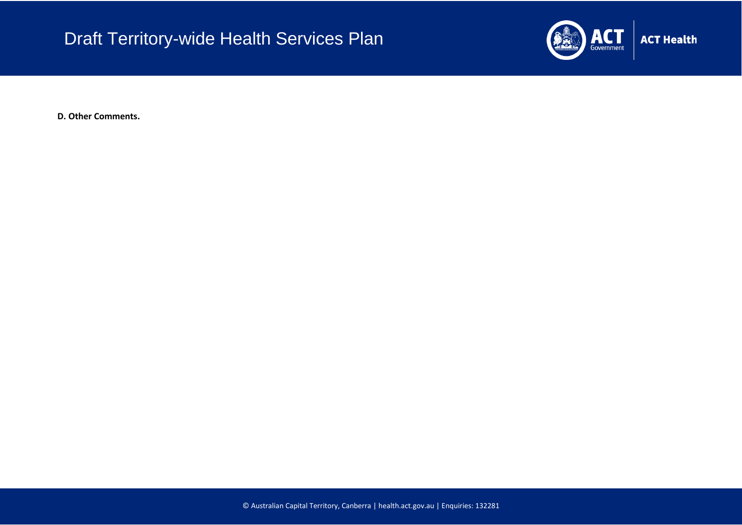

**ACT Health** 

**D. Other Comments.**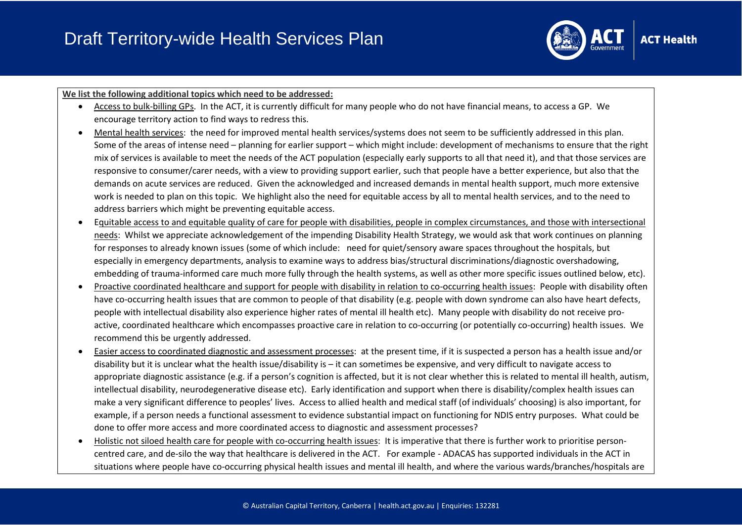

#### **We list the following additional topics which need to be addressed:**

- Access to bulk-billing GPs. In the ACT, it is currently difficult for many people who do not have financial means, to access a GP. We encourage territory action to find ways to redress this.
- Mental health services: the need for improved mental health services/systems does not seem to be sufficiently addressed in this plan. Some of the areas of intense need – planning for earlier support – which might include: development of mechanisms to ensure that the right mix of services is available to meet the needs of the ACT population (especially early supports to all that need it), and that those services are responsive to consumer/carer needs, with a view to providing support earlier, such that people have a better experience, but also that the demands on acute services are reduced. Given the acknowledged and increased demands in mental health support, much more extensive work is needed to plan on this topic. We highlight also the need for equitable access by all to mental health services, and to the need to address barriers which might be preventing equitable access.
- Equitable access to and equitable quality of care for people with disabilities, people in complex circumstances, and those with intersectional needs: Whilst we appreciate acknowledgement of the impending Disability Health Strategy, we would ask that work continues on planning for responses to already known issues (some of which include: need for quiet/sensory aware spaces throughout the hospitals, but especially in emergency departments, analysis to examine ways to address bias/structural discriminations/diagnostic overshadowing, embedding of trauma-informed care much more fully through the health systems, as well as other more specific issues outlined below, etc).
- Proactive coordinated healthcare and support for people with disability in relation to co-occurring health issues: People with disability often have co-occurring health issues that are common to people of that disability (e.g. people with down syndrome can also have heart defects, people with intellectual disability also experience higher rates of mental ill health etc). Many people with disability do not receive proactive, coordinated healthcare which encompasses proactive care in relation to co-occurring (or potentially co-occurring) health issues. We recommend this be urgently addressed.
- Easier access to coordinated diagnostic and assessment processes: at the present time, if it is suspected a person has a health issue and/or disability but it is unclear what the health issue/disability is – it can sometimes be expensive, and very difficult to navigate access to appropriate diagnostic assistance (e.g. if a person's cognition is affected, but it is not clear whether this is related to mental ill health, autism, intellectual disability, neurodegenerative disease etc). Early identification and support when there is disability/complex health issues can make a very significant difference to peoples' lives. Access to allied health and medical staff (of individuals' choosing) is also important, for example, if a person needs a functional assessment to evidence substantial impact on functioning for NDIS entry purposes. What could be done to offer more access and more coordinated access to diagnostic and assessment processes?
- Holistic not siloed health care for people with co-occurring health issues: It is imperative that there is further work to prioritise personcentred care, and de-silo the way that healthcare is delivered in the ACT. For example - ADACAS has supported individuals in the ACT in situations where people have co-occurring physical health issues and mental ill health, and where the various wards/branches/hospitals are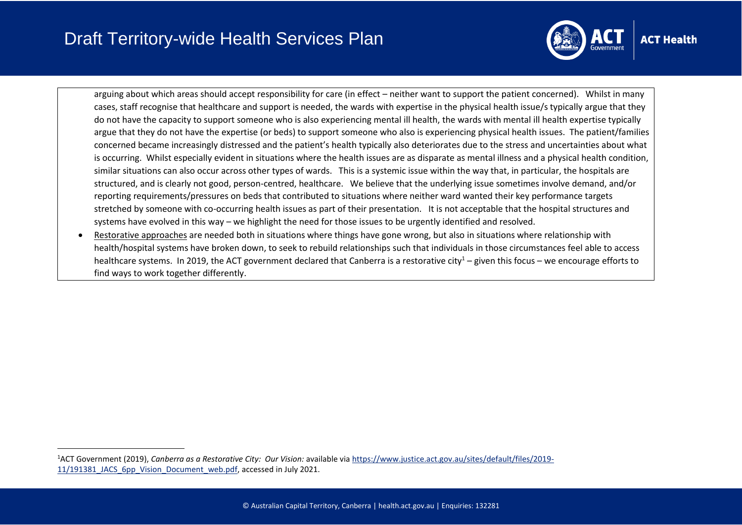

arguing about which areas should accept responsibility for care (in effect – neither want to support the patient concerned). Whilst in many cases, staff recognise that healthcare and support is needed, the wards with expertise in the physical health issue/s typically argue that they do not have the capacity to support someone who is also experiencing mental ill health, the wards with mental ill health expertise typically argue that they do not have the expertise (or beds) to support someone who also is experiencing physical health issues. The patient/families concerned became increasingly distressed and the patient's health typically also deteriorates due to the stress and uncertainties about what is occurring. Whilst especially evident in situations where the health issues are as disparate as mental illness and a physical health condition, similar situations can also occur across other types of wards. This is a systemic issue within the way that, in particular, the hospitals are structured, and is clearly not good, person-centred, healthcare. We believe that the underlying issue sometimes involve demand, and/or reporting requirements/pressures on beds that contributed to situations where neither ward wanted their key performance targets stretched by someone with co-occurring health issues as part of their presentation. It is not acceptable that the hospital structures and systems have evolved in this way – we highlight the need for those issues to be urgently identified and resolved.

• Restorative approaches are needed both in situations where things have gone wrong, but also in situations where relationship with health/hospital systems have broken down, to seek to rebuild relationships such that individuals in those circumstances feel able to access healthcare systems. In 2019, the ACT government declared that Canberra is a restorative city<sup>1</sup> – given this focus – we encourage efforts to find ways to work together differently.

<sup>1</sup>ACT Government (2019), *Canberra as a Restorative City: Our Vision:* available via [https://www.justice.act.gov.au/sites/default/files/2019-](https://www.justice.act.gov.au/sites/default/files/2019-11/191381_JACS_6pp_Vision_Document_web.pdf) [11/191381\\_JACS\\_6pp\\_Vision\\_Document\\_web.pdf,](https://www.justice.act.gov.au/sites/default/files/2019-11/191381_JACS_6pp_Vision_Document_web.pdf) accessed in July 2021.